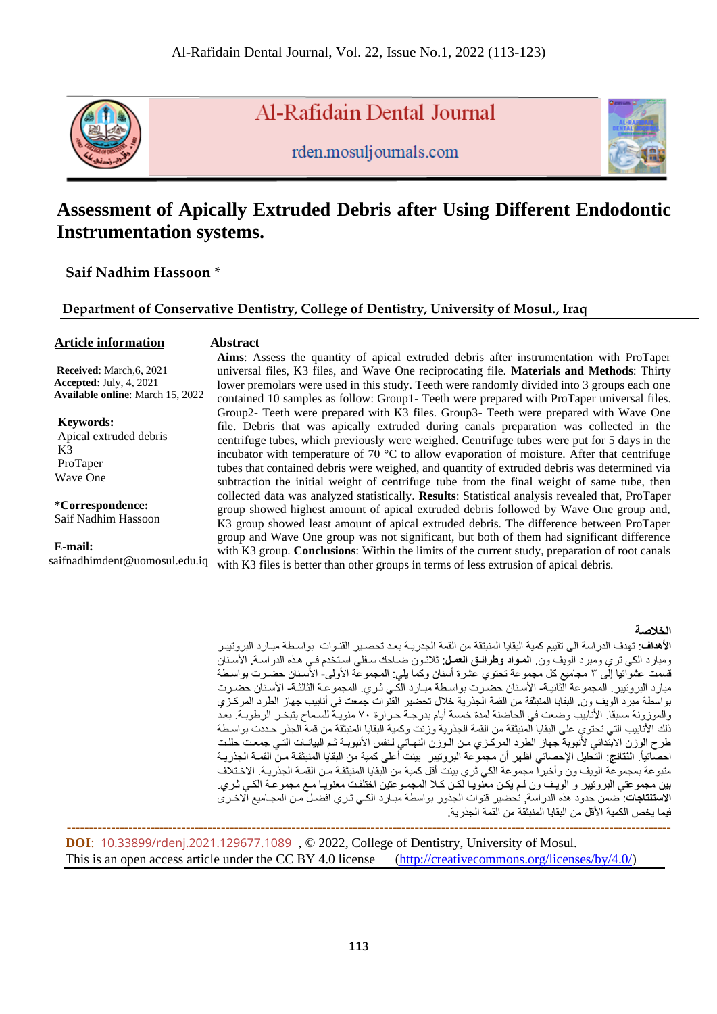

Al-Rafidain Dental Journal

rden.mosuljournals.com



# **Assessment of Apically Extruded Debris after Using Different Endodontic Instrumentation systems.**

**Saif Nadhim Hassoon \***

# **Department of Conservative Dentistry, College of Dentistry, University of Mosul., Iraq**

# **Article information**

#### **Abstract**

 **Received**: March,6, 2021  **Accepted**: July, 4, 2021  **Available online**: March 15, 2022

**Keywords:** Apical extruded debris K3 ProTaper Wave One

**\*Correspondence:** Saif Nadhim Hassoon

**E-mail:**

saifnadhimdent@uomosul.edu.iq

**Aims**: Assess the quantity of apical extruded debris after instrumentation with ProTaper universal files, K3 files, and Wave One reciprocating file. **Materials and Methods**: Thirty lower premolars were used in this study. Teeth were randomly divided into 3 groups each one contained 10 samples as follow: Group1- Teeth were prepared with ProTaper universal files. Group2- Teeth were prepared with K3 files. Group3- Teeth were prepared with Wave One file. Debris that was apically extruded during canals preparation was collected in the centrifuge tubes, which previously were weighed. Centrifuge tubes were put for 5 days in the incubator with temperature of 70 °C to allow evaporation of moisture. After that centrifuge tubes that contained debris were weighed, and quantity of extruded debris was determined via subtraction the initial weight of centrifuge tube from the final weight of same tube, then collected data was analyzed statistically. **Results**: Statistical analysis revealed that, ProTaper group showed highest amount of apical extruded debris followed by Wave One group and, K3 group showed least amount of apical extruded debris. The difference between ProTaper group and Wave One group was not significant, but both of them had significant difference with K3 group. **Conclusions**: Within the limits of the current study, preparation of root canals with K3 files is better than other groups in terms of less extrusion of apical debris.

#### **الخالصة**

**الأهداف**: تهدف الدراسة الى تقييم كمية البقايا المنبثقة من القمة الجذريـة بعد تحضـير القنـوات بواسـطة مبـارد البر وتيبـر ومبارد الكي ثري ومبرد الويف ون. ا**لمـواد وطرائـق الـعمل**: ثلاثـون ضـاحك سـفلي اسـتخدم فـي هـذه الدراسـة. الأسـنان قسمت عشوائيا إلى ٣ مجاميع كل مجموعة تحتوي عشرة أسنان وكما يلي: المجموعة الأولى- الأسنان حضـرت بواسـطة مبارد البروتيبر . المجموعة الثانية- الأسنان حضـرت بواسطة مبـارد الكـي ثـري. المجموعـة الثالثـة- الأسنان حضـرت بواسطة مبرد الويف ون. البقايا المنبثقة من القمة الجذرية خلال تحضير القنوات جمعت في أنابيب جهاز الطرد المركزي والموزونة مسبقا. الأنابيب وضعت في الحاضنة لمدة خمسة أيام بدرجة حرارة ٧٠ مئويـة للسماح بتبخـر الرطوبـة. بعد ذلك الأنابيب التي تحتوي على البقايا المنبثقة من القمة الجذرية وزنت وكمية البقايا المنبثقة من قمة الجذر حددت بواسطة طرح الوزن الابتدائي لأنبوبة جهاز الطرد المركزي من الـوزن النهـاني لـنفس الأنبوبـة ثـم البيانـات التـّي جمعت حللت احصائياً. **النتائج**: التحليل الإحصائي اظهر أن مجموعة البروتيبر بينت أعلى كمية من البقايا المنبثقة من القمـة الجذريـة متبوعة بمجموعة الويف ون وأخيراً مجموعة الكي ثري بينت أقل كمية من البقايا المنبثقة من القمـة الجذريـة. الاخـتلاف بين مجموعتي البروتيبر و الويف ون لـم يكن معنويـا لكن كـلا المجمـوعتين اختلفت معنويـا مـع مجموعـة الكـى ثـري. ا**لاستنتاجات**: صمن حدود هذه الدراسة, تحضير قنوات الجذور بواسطة مبـارد الكـي ثـري افضـل مـن المجـاميع الاخـري فيما يخص الكمية الأقل من البقايا المنبثقة من القمة الجذرية.

 **----------------------------------------------------------------------------------------------------------------------------------------- DOI**: [10.33899/rdenj.2021.129677.1089](http://dx.doi.org/10.33899/rdenj.2021.129677.1089) , © 2022, College of Dentistry, University of Mosul. This is an open access article under the CC BY 4.0 license [\(http://creativecommons.org/licenses/by/4.0/\)](http://creativecommons.org/licenses/by/4.0/)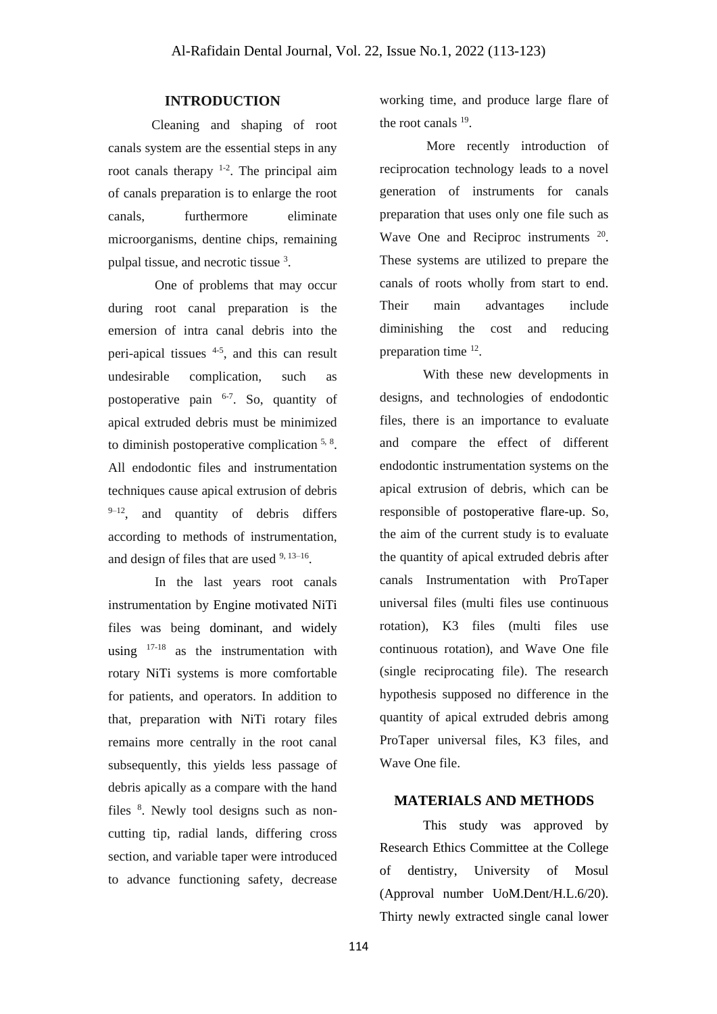# **INTRODUCTION**

Cleaning and shaping of root canals system are the essential steps in any root canals therapy  $1-2$ . The principal aim of canals preparation is to enlarge the root canals, furthermore eliminate microorganisms, dentine chips, remaining pulpal tissue, and necrotic tissue 3.

One of problems that may occur during root canal preparation is the emersion of intra canal debris into the peri-apical tissues 4-5 , and this can result undesirable complication, such as postoperative pain <sup>6-7</sup>. So, quantity of apical extruded debris must be minimized to diminish postoperative complication  $5, 8$ . All endodontic files and instrumentation techniques cause apical extrusion of debris  $9-12$ , and quantity of debris differs according to methods of instrumentation, and design of files that are used  $9,13-16$ .

In the last years root canals instrumentation by Engine motivated NiTi files was being dominant, and widely using  $17-18$  as the instrumentation with rotary NiTi systems is more comfortable for patients, and operators. In addition to that, preparation with NiTi rotary files remains more centrally in the root canal subsequently, this yields less passage of debris apically as a compare with the hand files <sup>8</sup>. Newly tool designs such as noncutting tip, radial lands, differing cross section, and variable taper were introduced to advance functioning safety, decrease working time, and produce large flare of the root canals <sup>19</sup>.

More recently introduction of reciprocation technology leads to a novel generation of instruments for canals preparation that uses only one file such as Wave One and Reciproc instruments <sup>20</sup>. These systems are utilized to prepare the canals of roots wholly from start to end. Their main advantages include diminishing the cost and reducing preparation time <sup>12</sup>.

With these new developments in designs, and technologies of endodontic files, there is an importance to evaluate and compare the effect of different endodontic instrumentation systems on the apical extrusion of debris, which can be responsible of postoperative flare-up. So, the aim of the current study is to evaluate the quantity of apical extruded debris after canals Instrumentation with ProTaper universal files (multi files use continuous rotation), K3 files (multi files use continuous rotation), and Wave One file (single reciprocating file). The research hypothesis supposed no difference in the quantity of apical extruded debris among ProTaper universal files, K3 files, and Wave One file.

### **MATERIALS AND METHODS**

This study was approved by Research Ethics Committee at the College of dentistry, University of Mosul (Approval number UoM.Dent/H.L.6/20). Thirty newly extracted single canal lower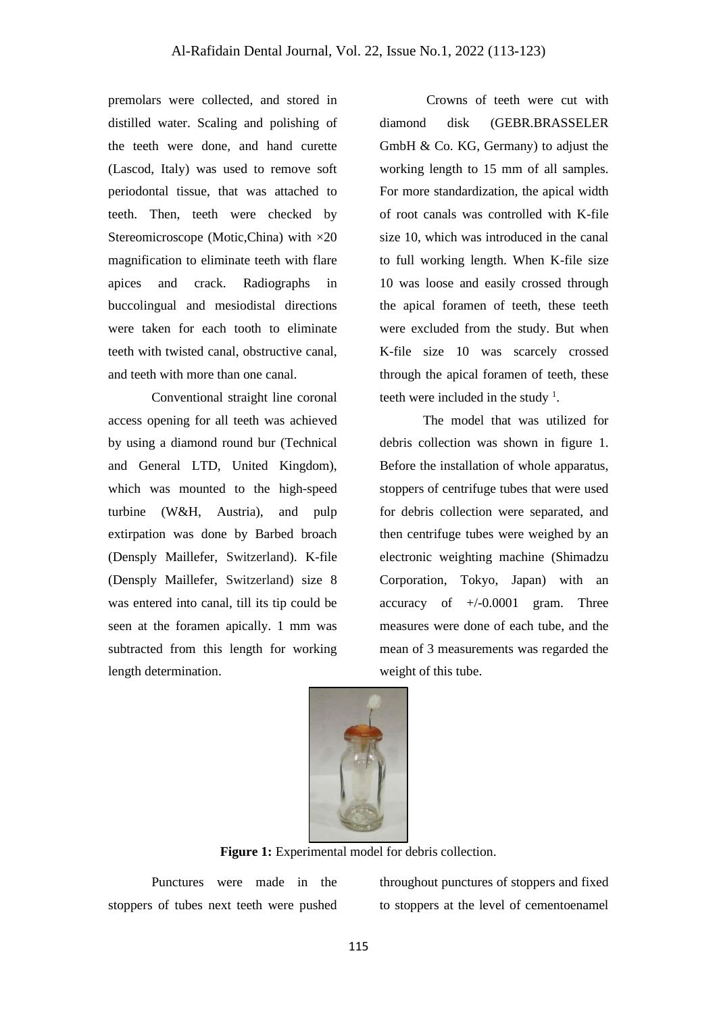premolars were collected, and stored in distilled water. Scaling and polishing of the teeth were done, and hand curette (Lascod, Italy) was used to remove soft periodontal tissue, that was attached to teeth. Then, teeth were checked by Stereomicroscope (Motic,China) with ×20 magnification to eliminate teeth with flare apices and crack. Radiographs in buccolingual and mesiodistal directions were taken for each tooth to eliminate teeth with twisted canal, obstructive canal, and teeth with more than one canal.

Conventional straight line coronal access opening for all teeth was achieved by using a diamond round bur (Technical and General LTD, United Kingdom), which was mounted to the high-speed turbine (W&H, Austria), and pulp extirpation was done by Barbed broach (Densply Maillefer, Switzerland). K-file (Densply Maillefer, Switzerland) size 8 was entered into canal, till its tip could be seen at the foramen apically. 1 mm was subtracted from this length for working length determination.

Crowns of teeth were cut with diamond disk (GEBR.BRASSELER GmbH & Co. KG, Germany) to adjust the working length to 15 mm of all samples. For more standardization, the apical width of root canals was controlled with K-file size 10, which was introduced in the canal to full working length. When K-file size 10 was loose and easily crossed through the apical foramen of teeth, these teeth were excluded from the study. But when K-file size 10 was scarcely crossed through the apical foramen of teeth, these teeth were included in the study  $\frac{1}{1}$ .

The model that was utilized for debris collection was shown in figure 1. Before the installation of whole apparatus, stoppers of centrifuge tubes that were used for debris collection were separated, and then centrifuge tubes were weighed by an electronic weighting machine (Shimadzu Corporation, Tokyo, Japan) with an accuracy of  $+/-0.0001$  gram. Three measures were done of each tube, and the mean of 3 measurements was regarded the weight of this tube.



**Figure 1:** Experimental model for debris collection.

Punctures were made in the stoppers of tubes next teeth were pushed

throughout punctures of stoppers and fixed to stoppers at the level of cementoenamel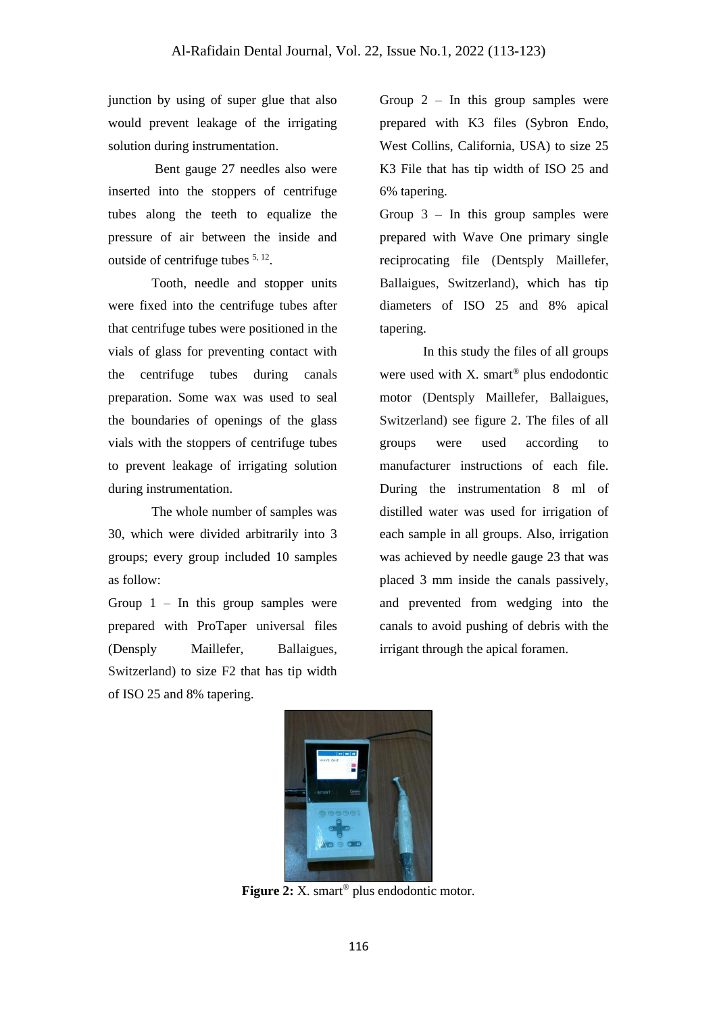junction by using of super glue that also would prevent leakage of the irrigating solution during instrumentation.

Bent gauge 27 needles also were inserted into the stoppers of centrifuge tubes along the teeth to equalize the pressure of air between the inside and outside of centrifuge tubes  $5, 12$ .

Tooth, needle and stopper units were fixed into the centrifuge tubes after that centrifuge tubes were positioned in the vials of glass for preventing contact with the centrifuge tubes during canals preparation. Some wax was used to seal the boundaries of openings of the glass vials with the stoppers of centrifuge tubes to prevent leakage of irrigating solution during instrumentation.

The whole number of samples was 30, which were divided arbitrarily into 3 groups; every group included 10 samples as follow:

Group  $1 -$  In this group samples were prepared with ProTaper universal files (Densply Maillefer, Ballaigues, Switzerland) to size F2 that has tip width of ISO 25 and 8% tapering.

Group  $2 -$  In this group samples were prepared with K3 files (Sybron Endo, West Collins, California, USA) to size 25 K3 File that has tip width of ISO 25 and 6% tapering.

Group  $3 -$  In this group samples were prepared with Wave One primary single reciprocating file (Dentsply Maillefer, Ballaigues, Switzerland), which has tip diameters of ISO 25 and 8% apical tapering.

In this study the files of all groups were used with  $X$ . smart<sup>®</sup> plus endodontic motor (Dentsply Maillefer, Ballaigues, Switzerland) see figure 2. The files of all groups were used according to manufacturer instructions of each file. During the instrumentation 8 ml of distilled water was used for irrigation of each sample in all groups. Also, irrigation was achieved by needle gauge 23 that was placed 3 mm inside the canals passively, and prevented from wedging into the canals to avoid pushing of debris with the irrigant through the apical foramen.



**Figure 2:** X. smart<sup>®</sup> plus endodontic motor.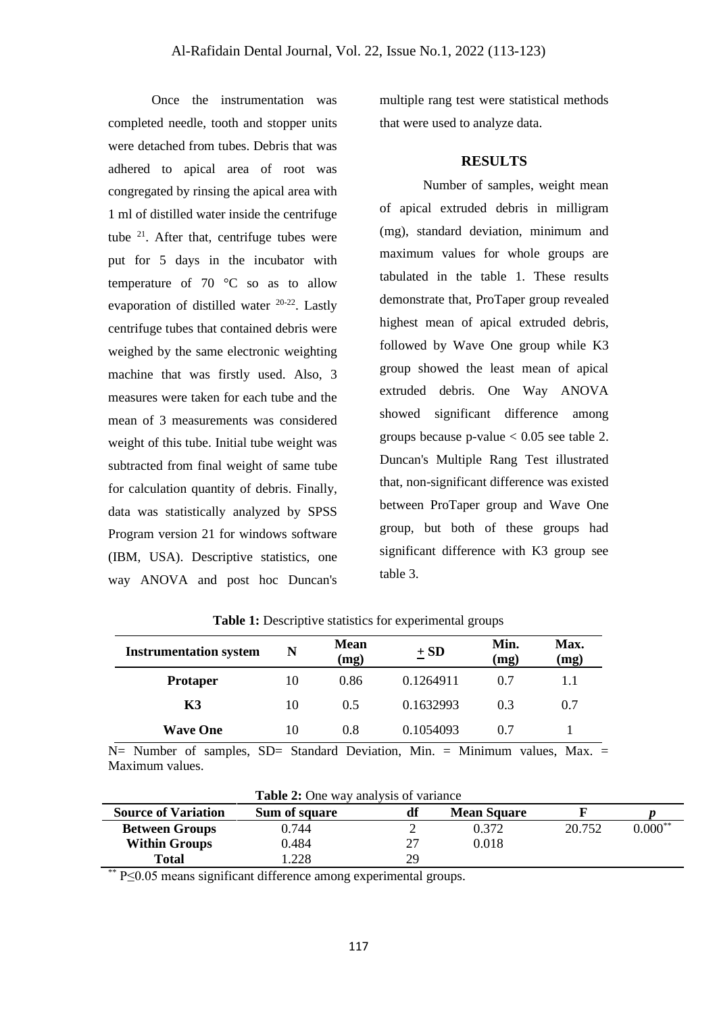Once the instrumentation was completed needle, tooth and stopper units were detached from tubes. Debris that was adhered to apical area of root was congregated by rinsing the apical area with 1 ml of distilled water inside the centrifuge tube <sup>21</sup>. After that, centrifuge tubes were put for 5 days in the incubator with temperature of 70 °C so as to allow evaporation of distilled water 20-22. Lastly centrifuge tubes that contained debris were weighed by the same electronic weighting machine that was firstly used. Also, 3 measures were taken for each tube and the mean of 3 measurements was considered weight of this tube. Initial tube weight was subtracted from final weight of same tube for calculation quantity of debris. Finally, data was statistically analyzed by SPSS Program version 21 for windows software (IBM, USA). Descriptive statistics, one way ANOVA and post hoc Duncan's multiple rang test were statistical methods that were used to analyze data.

### **RESULTS**

Number of samples, weight mean of apical extruded debris in milligram (mg), standard deviation, minimum and maximum values for whole groups are tabulated in the table 1. These results demonstrate that, ProTaper group revealed highest mean of apical extruded debris, followed by Wave One group while K3 group showed the least mean of apical extruded debris. One Way ANOVA showed significant difference among groups because p-value  $< 0.05$  see table 2. Duncan's Multiple Rang Test illustrated that, non-significant difference was existed between ProTaper group and Wave One group, but both of these groups had significant difference with K3 group see table 3.

| <b>Instrumentation system</b> | N  | <b>Mean</b><br>(mg) | $\pm$ SD  | Min.<br>(mg) | <b>Max.</b><br>(mg) |
|-------------------------------|----|---------------------|-----------|--------------|---------------------|
| <b>Protaper</b>               | 10 | 0.86                | 0.1264911 | 0.7          |                     |
| K3                            | 10 | 0.5                 | 0.1632993 | 0.3          | 0.7                 |
| <b>Wave One</b>               | 10 | 0.8                 | 0.1054093 | 0.7          |                     |

**Table 1:** Descriptive statistics for experimental groups

N= Number of samples, SD= Standard Deviation, Min. = Minimum values, Max. = Maximum values.

|                            | <b>Table 2:</b> One way analysis of variance |    |                    |        |           |  |  |
|----------------------------|----------------------------------------------|----|--------------------|--------|-----------|--|--|
| <b>Source of Variation</b> | Sum of square                                |    | <b>Mean Square</b> |        |           |  |  |
| <b>Between Groups</b>      | 0.744                                        |    | 0.372              | 20.752 | $0.000**$ |  |  |
| <b>Within Groups</b>       | 0.484                                        |    | 0.018              |        |           |  |  |
| Total                      | 1.228                                        | 29 |                    |        |           |  |  |

**Table 2:** One way analysis of variance

P≤0.05 means significant difference among experimental groups.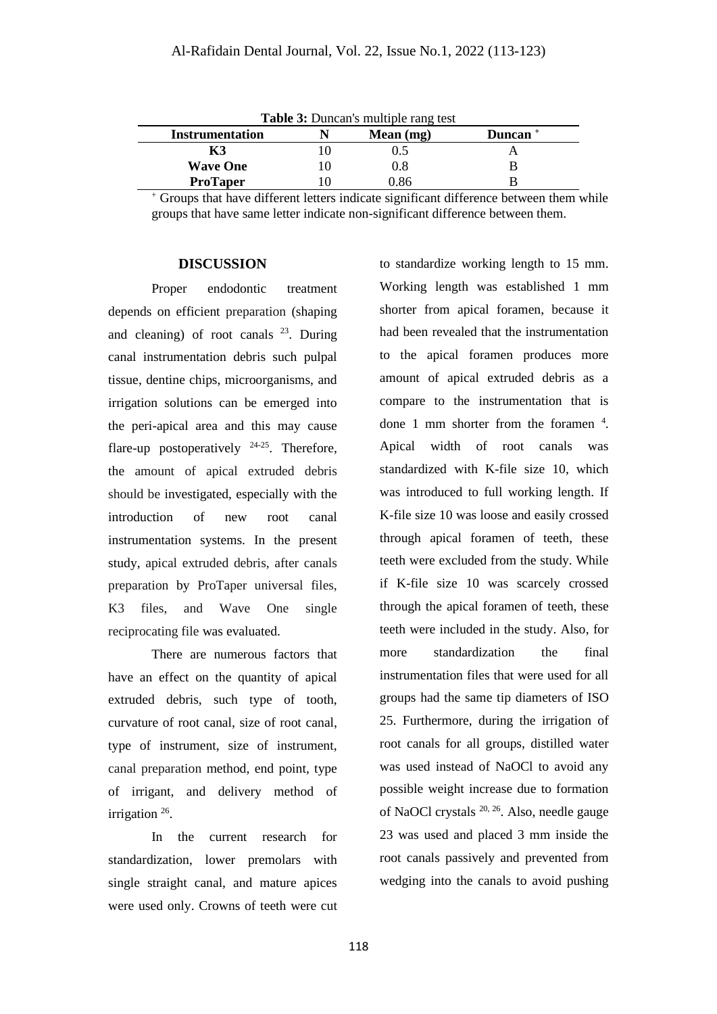| <b>Table 3:</b> Duncan's multiple rang test<br>Mean $(mg)$<br>Instrumentation<br>Duncan <sup>+</sup> |  |     |  |  |  |  |  |
|------------------------------------------------------------------------------------------------------|--|-----|--|--|--|--|--|
|                                                                                                      |  |     |  |  |  |  |  |
| <b>Wave One</b>                                                                                      |  | 0.8 |  |  |  |  |  |
| <b>ProTaper</b>                                                                                      |  |     |  |  |  |  |  |

<sup>+</sup> Groups that have different letters indicate significant difference between them while groups that have same letter indicate non-significant difference between them.

#### **DISCUSSION**

Proper endodontic treatment depends on efficient preparation (shaping and cleaning) of root canals  $^{23}$ . During canal instrumentation debris such pulpal tissue, dentine chips, microorganisms, and irrigation solutions can be emerged into the peri-apical area and this may cause flare-up postoperatively  $24-25$ . Therefore, the amount of apical extruded debris should be investigated, especially with the introduction of new root canal instrumentation systems. In the present study, apical extruded debris, after canals preparation by ProTaper universal files, K3 files, and Wave One single reciprocating file was evaluated.

There are numerous factors that have an effect on the quantity of apical extruded debris, such type of tooth, curvature of root canal, size of root canal, type of instrument, size of instrument, canal preparation method, end point, type of irrigant, and delivery method of irrigation <sup>26</sup>.

In the current research for standardization, lower premolars with single straight canal, and mature apices were used only. Crowns of teeth were cut to standardize working length to 15 mm. Working length was established 1 mm shorter from apical foramen, because it had been revealed that the instrumentation to the apical foramen produces more amount of apical extruded debris as a compare to the instrumentation that is done 1 mm shorter from the foramen  $4$ . Apical width of root canals was standardized with K-file size 10, which was introduced to full working length. If K-file size 10 was loose and easily crossed through apical foramen of teeth, these teeth were excluded from the study. While if K-file size 10 was scarcely crossed through the apical foramen of teeth, these teeth were included in the study. Also, for more standardization the final instrumentation files that were used for all groups had the same tip diameters of ISO 25. Furthermore, during the irrigation of root canals for all groups, distilled water was used instead of NaOCl to avoid any possible weight increase due to formation of NaOCl crystals <sup>20, 26</sup>. Also, needle gauge 23 was used and placed 3 mm inside the root canals passively and prevented from wedging into the canals to avoid pushing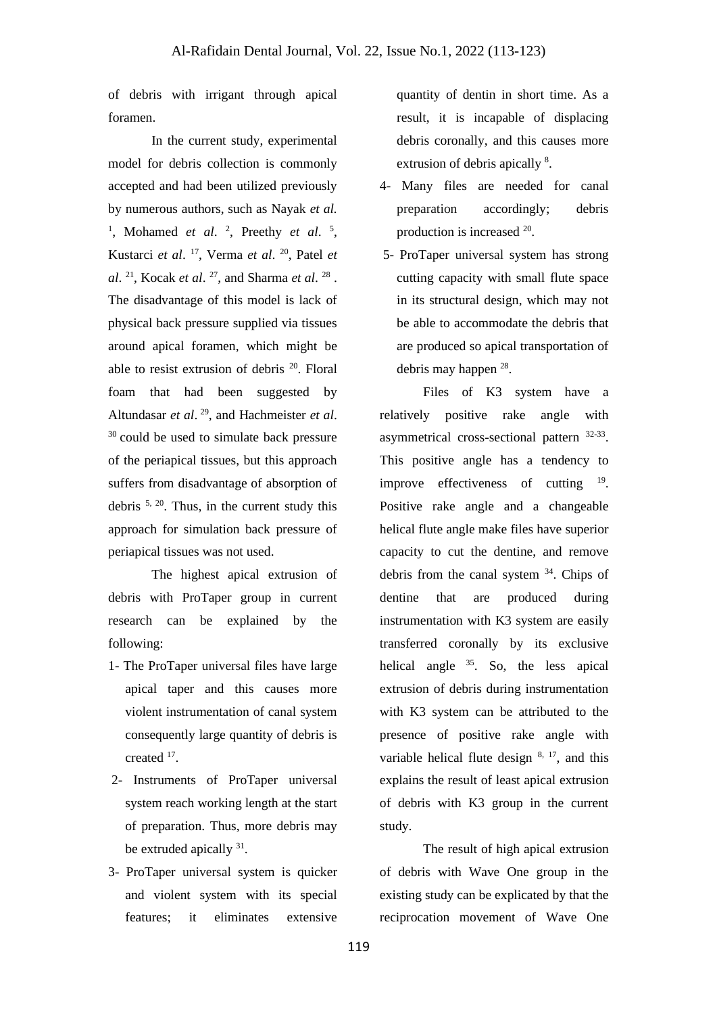of debris with irrigant through apical foramen.

In the current study, experimental model for debris collection is commonly accepted and had been utilized previously by numerous authors, such as Nayak *et al.* <sup>1</sup>, Mohamed *et al.* <sup>2</sup>, Preethy *et al.* <sup>5</sup>, Kustarci *et al*. 17 , Verma *et al*. <sup>20</sup>, Patel *et al*. <sup>21</sup>, Kocak *et al*. <sup>27</sup>, and Sharma *et al*. <sup>28</sup>. The disadvantage of this model is lack of physical back pressure supplied via tissues around apical foramen, which might be able to resist extrusion of debris <sup>20</sup>. Floral foam that had been suggested by Altundasar *et al*. <sup>29</sup>, and Hachmeister *et al*.  $30$  could be used to simulate back pressure of the periapical tissues, but this approach suffers from disadvantage of absorption of debris 5, 20. Thus, in the current study this approach for simulation back pressure of periapical tissues was not used.

The highest apical extrusion of debris with ProTaper group in current research can be explained by the following:

- 1- The ProTaper universal files have large apical taper and this causes more violent instrumentation of canal system consequently large quantity of debris is created <sup>17</sup>.
- 2- Instruments of ProTaper universal system reach working length at the start of preparation. Thus, more debris may be extruded apically <sup>31</sup>.
- 3- ProTaper universal system is quicker and violent system with its special features; it eliminates extensive

quantity of dentin in short time. As a result, it is incapable of displacing debris coronally, and this causes more extrusion of debris apically <sup>8</sup>.

- 4- Many files are needed for canal preparation accordingly; debris production is increased <sup>20</sup>.
- 5- ProTaper universal system has strong cutting capacity with small flute space in its structural design, which may not be able to accommodate the debris that are produced so apical transportation of debris may happen <sup>28</sup>.

Files of K3 system have a relatively positive rake angle with asymmetrical cross-sectional pattern  $32-33$ . This positive angle has a tendency to improve effectiveness of cutting <sup>19</sup>. Positive rake angle and a changeable helical flute angle make files have superior capacity to cut the dentine, and remove debris from the canal system  $34$ . Chips of dentine that are produced during instrumentation with K3 system are easily transferred coronally by its exclusive helical angle  $35$ . So, the less apical extrusion of debris during instrumentation with K3 system can be attributed to the presence of positive rake angle with variable helical flute design  $8, 17$ , and this explains the result of least apical extrusion of debris with K3 group in the current study.

The result of high apical extrusion of debris with Wave One group in the existing study can be explicated by that the reciprocation movement of Wave One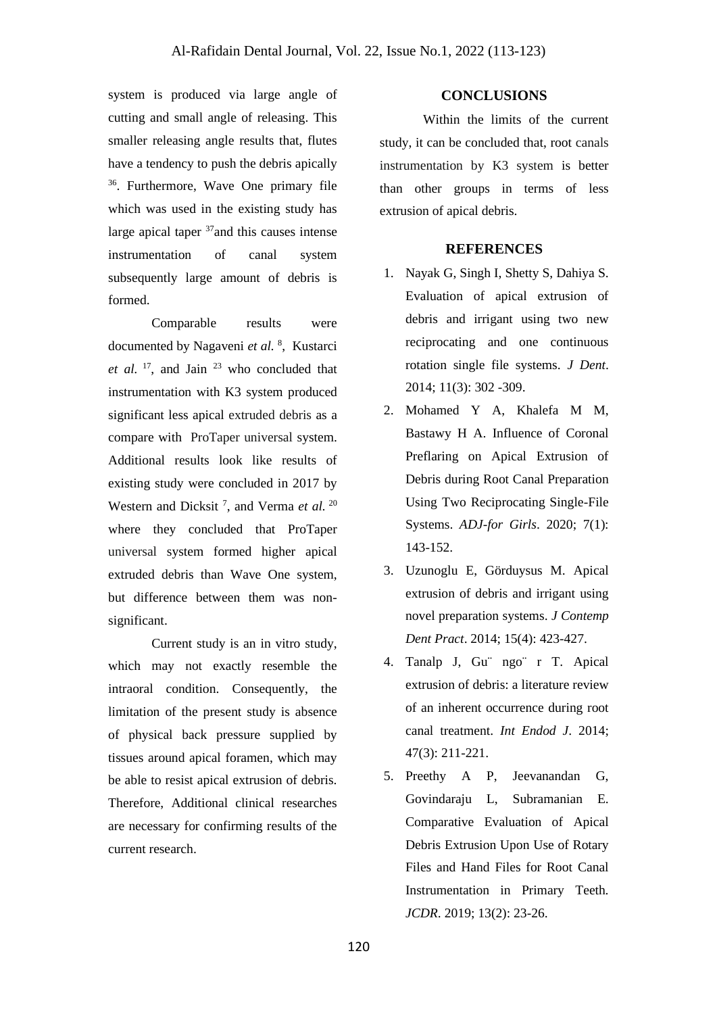system is produced via large angle of cutting and small angle of releasing. This smaller releasing angle results that, flutes have a tendency to push the debris apically <sup>36</sup>. Furthermore, Wave One primary file which was used in the existing study has large apical taper <sup>37</sup> and this causes intense instrumentation of canal system subsequently large amount of debris is formed.

Comparable results were documented by Nagaveni et al. <sup>8</sup>, Kustarci et al. <sup>17</sup>, and Jain <sup>23</sup> who concluded that instrumentation with K3 system produced significant less apical extruded debris as a compare with ProTaper universal system. Additional results look like results of existing study were concluded in 2017 by Western and Dicksit<sup>7</sup>, and Verma *et al.* <sup>20</sup> where they concluded that ProTaper universal system formed higher apical extruded debris than Wave One system, but difference between them was nonsignificant.

Current study is an in vitro study, which may not exactly resemble the intraoral condition. Consequently, the limitation of the present study is absence of physical back pressure supplied by tissues around apical foramen, which may be able to resist apical extrusion of debris. Therefore, Additional clinical researches are necessary for confirming results of the current research.

## **CONCLUSIONS**

Within the limits of the current study, it can be concluded that, root canals instrumentation by K3 system is better than other groups in terms of less extrusion of apical debris.

## **REFERENCES**

- 1. Nayak G, Singh I, Shetty S, Dahiya S. Evaluation of apical extrusion of debris and irrigant using two new reciprocating and one continuous rotation single file systems. *[J Dent](https://www.ncbi.nlm.nih.gov/pmc/articles/PMC4290758/)*. 2014; 11(3): 302 -309.
- 2. Mohamed Y A, Khalefa M M, Bastawy H A. Influence of Coronal Preflaring on Apical Extrusion of Debris during Root Canal Preparation Using Two Reciprocating Single-File Systems. *ADJ-for Girls*. 2020; 7(1): 143-152.
- 3. Uzunoglu E, Görduysus M. Apical extrusion of debris and irrigant using novel preparation systems. *J Contemp Dent Pract*. 2014; 15(4): 423-427.
- 4. Tanalp J, Gu¨ ngo¨ r T. Apical extrusion of debris: a literature review of an inherent occurrence during root canal treatment. *Int Endod J*. 2014; 47(3): 211-221.
- 5. Preethy A P, Jeevanandan G, Govindaraju L, Subramanian E. Comparative Evaluation of Apical Debris Extrusion Upon Use of Rotary Files and Hand Files for Root Canal Instrumentation in Primary Teeth. *JCDR*. 2019; 13(2): 23-26.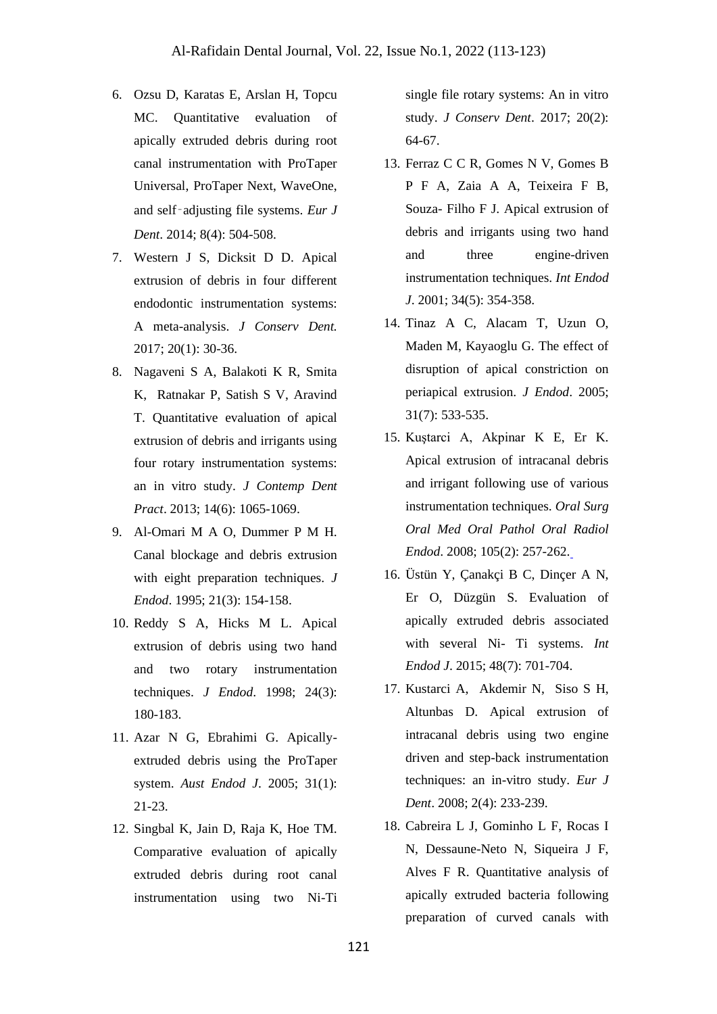- 6. Ozsu D, Karatas E, Arslan H, Topcu MC. Quantitative evaluation of apically extruded debris during root canal instrumentation with ProTaper Universal, ProTaper Next, WaveOne, and self‑adjusting file systems. *Eur J Dent*. 2014; 8(4): 504-508.
- 7. Western J S, Dicksit D D. Apical extrusion of debris in four different endodontic instrumentation systems: A meta-analysis. *J Conserv Dent.* 2017; 20(1): 30-36.
- 8. Nagaveni S A, Balakoti K R, Smita K, Ratnakar P, Satish S V, Aravind T. Quantitative evaluation of apical extrusion of debris and irrigants using four rotary instrumentation systems: an in vitro study. *J Contemp Dent Pract*. 2013; 14(6): 1065-1069.
- 9. Al-Omari M A O, Dummer P M H. Canal blockage and debris extrusion with eight preparation techniques. *J Endod*. 1995; 21(3): 154-158.
- 10. Reddy S A, Hicks M L. Apical extrusion of debris using two hand and two rotary instrumentation techniques. *J Endod*. 1998; 24(3): 180-183.
- 11. Azar N G, Ebrahimi G. Apicallyextruded debris using the ProTaper system. *Aust Endod J*. 2005; 31(1): 21-23.
- 12. Singbal K, Jain D, Raja K, Hoe TM. Comparative evaluation of apically extruded debris during root canal instrumentation using two Ni-Ti

single file rotary systems: An in vitro study. *J Conserv Dent*. 2017; 20(2): 64-67.

- 13. Ferraz C C R, Gomes N V, Gomes B P F A, Zaia A A, Teixeira F B, Souza- Filho F J. Apical extrusion of debris and irrigants using two hand and three engine-driven instrumentation techniques. *Int Endod J*. 2001; 34(5): 354-358.
- 14. Tinaz A C, Alacam T, Uzun O, Maden M, Kayaoglu G. The effect of disruption of apical constriction on periapical extrusion. *J Endod*. 2005; 31(7): 533-535.
- 15. Kuştarci A, Akpinar K E, Er K. Apical extrusion of intracanal debris and irrigant following use of various instrumentation techniques. *Oral Surg Oral Med Oral Pathol Oral Radiol Endod*. 2008; 105(2): 257-262.
- 16. Üstün Y, Çanakçi B C, Dinçer A N, Er O, Düzgün S. Evaluation of apically extruded debris associated with several Ni- Ti systems. *Int Endod J*. 2015; 48(7): 701-704.
- 17. [Kustarci](http://www.ncbi.nlm.nih.gov/pubmed/?term=Kustarci%20A%5Bauth%5D) A, [Akdemir](http://www.ncbi.nlm.nih.gov/pubmed/?term=Akdemir%20N%5Bauth%5D) N, [Siso](http://www.ncbi.nlm.nih.gov/pubmed/?term=Siso%20SH%5Bauth%5D) S H, [Altunbas](http://www.ncbi.nlm.nih.gov/pubmed/?term=Altunbas%20D%5Bauth%5D) D. Apical extrusion of intracanal debris using two engine driven and step-back instrumentation techniques: an in-vitro study. *Eur J Dent*. 2008; 2(4): 233-239.
- 18. Cabreira L J, Gominho L F, Rocas I N, Dessaune-Neto N, Siqueira J F, Alves F R. Quantitative analysis of apically extruded bacteria following preparation of curved canals with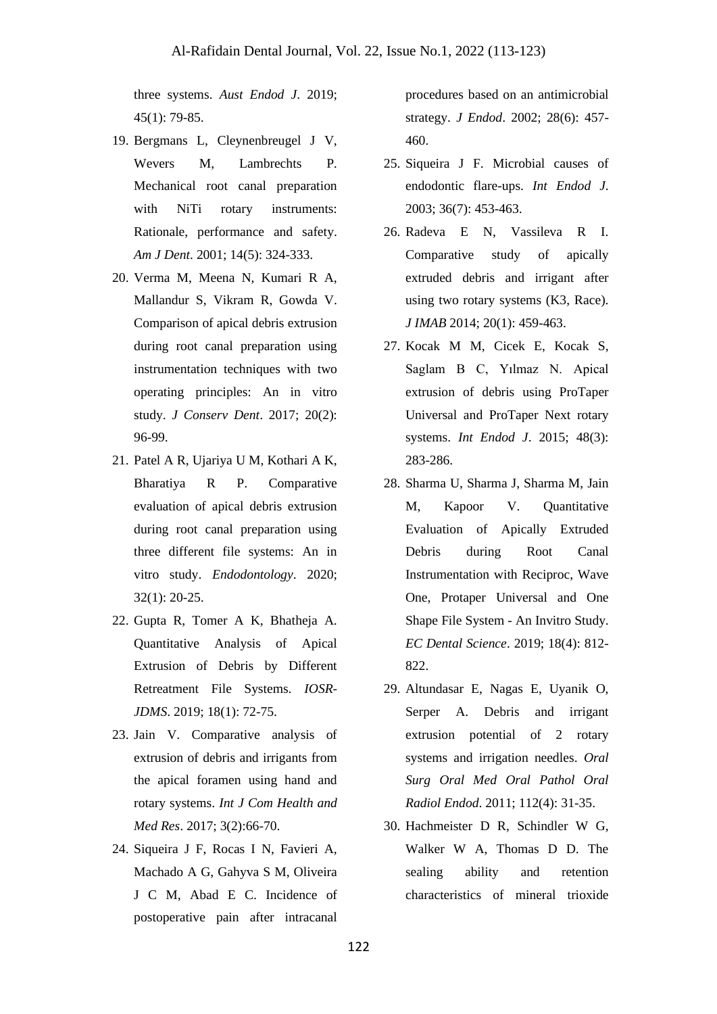three systems. *Aust Endod J*. 2019; 45(1): 79-85.

- 19. Bergmans L, Cleynenbreugel J V, Wevers M, Lambrechts P. Mechanical root canal preparation with NiTi rotary instruments: Rationale, performance and safety. *Am J Dent*. 2001; 14(5): 324-333.
- 20. Verma M, Meena N, Kumari R A, Mallandur S, Vikram R, Gowda V. Comparison of apical debris extrusion during root canal preparation using instrumentation techniques with two operating principles: An in vitro study. *J Conserv Dent*. 2017; 20(2): 96-99.
- 21. Patel A R, Ujariya U M, Kothari A K, Bharatiya R P. Comparative evaluation of apical debris extrusion during root canal preparation using three different file systems: An in vitro study. *Endodontology*. 2020; 32(1): 20-25.
- 22. Gupta R, Tomer A K, Bhatheja A. Quantitative Analysis of Apical Extrusion of Debris by Different Retreatment File Systems*. IOSR-JDMS*. 2019; 18(1): 72-75.
- 23. Jain V. Comparative analysis of extrusion of debris and irrigants from the apical foramen using hand and rotary systems. *Int J Com Health and Med Res*. 2017; 3(2):66-70.
- 24. Siqueira J F, Rocas I N, Favieri A, Machado A G, Gahyva S M, Oliveira J C M, Abad E C. Incidence of postoperative pain after intracanal

procedures based on an antimicrobial strategy. *J Endod*. 2002; 28(6): 457- 460.

- 25. Siqueira J F. Microbial causes of endodontic flare-ups. *Int Endod J*. 2003; 36(7): 453-463.
- 26. Radeva E N, Vassileva R I. Comparative study of apically extruded debris and irrigant after using two rotary systems (K3, Race). *J IMAB* 2014; 20(1): 459-463.
- 27. Kocak M M, Cicek E, Kocak S, Saglam B C, Yılmaz N. Apical extrusion of debris using ProTaper Universal and ProTaper Next rotary systems. *Int Endod J*. 2015; 48(3): 283-286.
- 28. Sharma U, Sharma J, Sharma M, Jain M, Kapoor V. Quantitative Evaluation of Apically Extruded Debris during Root Canal Instrumentation with Reciproc, Wave One, Protaper Universal and One Shape File System - An Invitro Study. *EC Dental Science*. 2019; 18(4): 812- 822.
- 29. Altundasar E, Nagas E, Uyanik O, Serper A. Debris and irrigant extrusion potential of 2 rotary systems and irrigation needles. *Oral Surg Oral Med Oral Pathol Oral Radiol Endod*. 2011; 112(4): 31-35.
- 30. Hachmeister D R, Schindler W G, Walker W A, Thomas D D. The sealing ability and retention characteristics of mineral trioxide